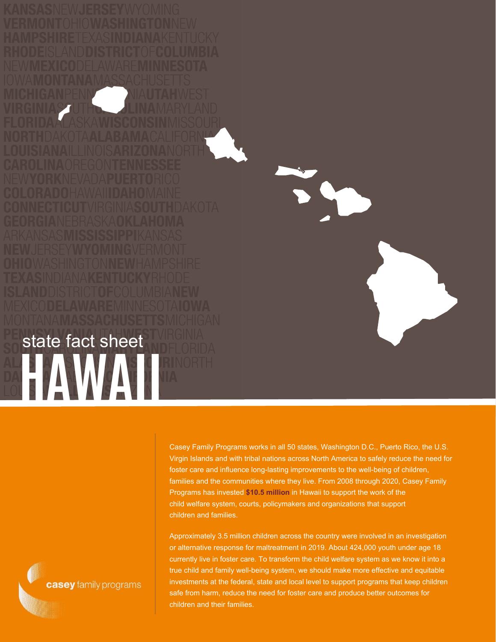Casey Family Programs works in all 50 states, Washington D.C., Puerto Rico, the U.S. Virgin Islands and with tribal nations across North America to safely reduce the need for foster care and influence long-lasting improvements to the well-being of children, families and the communities where they live. From 2008 through 2020, Casey Family Programs has invested **\$10.5 million** in Hawaii to support the work of the child welfare system, courts, policymakers and organizations that support children and families.

Approximately 3.5 million children across the country were involved in an investigation or alternative response for maltreatment in 2019. About 424,000 youth under age 18 currently live in foster care. To transform the child welfare system as we know it into a true child and family well-being system, we should make more effective and equitable investments at the federal, state and local level to support programs that keep children safe from harm, reduce the need for foster care and produce better outcomes for children and their families.

casey family programs

**HAWAII**

state fact sheet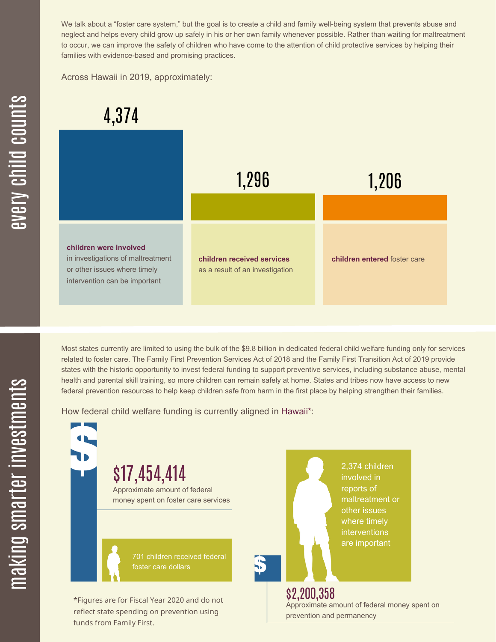We talk about a "foster care system," but the goal is to create a child and family well-being system that prevents abuse and neglect and helps every child grow up safely in his or her own family whenever possible. Rather than waiting for maltreatment to occur, we can improve the safety of children who have come to the attention of child protective services by helping their families with evidence-based and promising practices.

Across Hawaii in 2019, approximately:



Most states currently are limited to using the bulk of the \$9.8 billion in dedicated federal child welfare funding only for services related to foster care. The Family First Prevention Services Act of 2018 and the Family First Transition Act of 2019 provide states with the historic opportunity to invest federal funding to support preventive services, including substance abuse, mental health and parental skill training, so more children can remain safely at home. States and tribes now have access to new federal prevention resources to help keep children safe from harm in the first place by helping strengthen their families.

How federal child welfare funding is currently aligned in Hawaii\*:

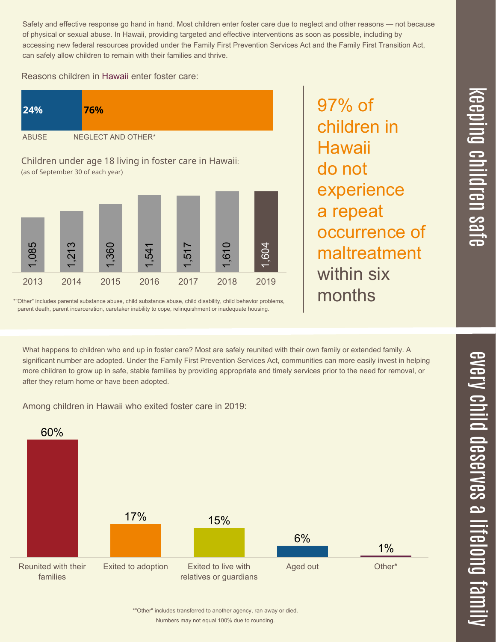$\overline{\phantom{1}}$  $\overline{\mathbf \Theta}$  $\overline{\mathbf{C}}$ <u>pin</u>  $\overline{\mathbf{C}}$  $\overline{\mathbf{C}}$  $\equiv$  $\overline{\mathbf{c}}$  $\overline{\phantom{0}}$  $\boldsymbol{\mathcal{O}}$ a  $\overrightarrow{\mathbf{e}}$ 

Safety and effective response go hand in hand. Most children enter foster care due to neglect and other reasons — not because of physical or sexual abuse. In Hawaii, providing targeted and effective interventions as soon as possible, including by accessing new federal resources provided under the Family First Prevention Services Act and the Family First Transition Act, can safely allow children to remain with their families and thrive.

97% of

**Hawaii** 

do not

children in

experience

occurrence of

maltreatment

a repeat

within six

months

Reasons children in Hawaii enter foster care:





\*"Other" includes parental substance abuse, child substance abuse, child disability, child behavior problems, parent death, parent incarceration, caretaker inability to cope, relinquishment or inadequate housing.

What happens to children who end up in foster care? Most are safely reunited with their own family or extended family. A significant number are adopted. Under the Family First Prevention Services Act, communities can more easily invest in helping more children to grow up in safe, stable families by providing appropriate and timely services prior to the need for removal, or after they return home or have been adopted.

Among children in Hawaii who exited foster care in 2019: